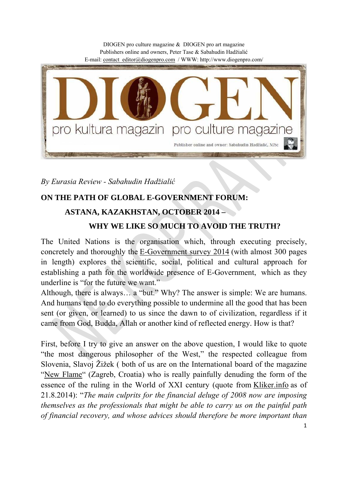

*By Eurasia Review - Sabahudin Hadžialić*

## **ON THE PATH OF GLOBAL E-GOVERNMENT FORUM:**

## **ASTANA, KAZAKHSTAN, OCTOBER 2014 –**

## **WHY WE LIKE SO MUCH TO AVOID THE TRUTH?**

The United Nations is the organisation which, through executing precisely, concretely and thoroughly the E-Government survey 2014 (with almost 300 pages in length) explores the scientific, social, political and cultural approach for establishing a path for the worldwide presence of E-Government, which as they underline is "for the future we want."

Although, there is always… a "but." Why? The answer is simple: We are humans. And humans tend to do everything possible to undermine all the good that has been sent (or given, or learned) to us since the dawn to of civilization, regardless if it came from God, Budda, Allah or another kind of reflected energy. How is that?

First, before I try to give an answer on the above question, I would like to quote "the most dangerous philosopher of the West," the respected colleague from Slovenia, Slavoj Žižek ( both of us are on the International board of the magazine "New Flame" (Zagreb, Croatia) who is really painfully denuding the form of the essence of the ruling in the World of XXI century (quote from Kliker.info as of 21.8.2014): "*The main culprits for the financial deluge of 2008 now are imposing themselves as the professionals that might be able to carry us on the painful path of financial recovery, and whose advices should therefore be more important than*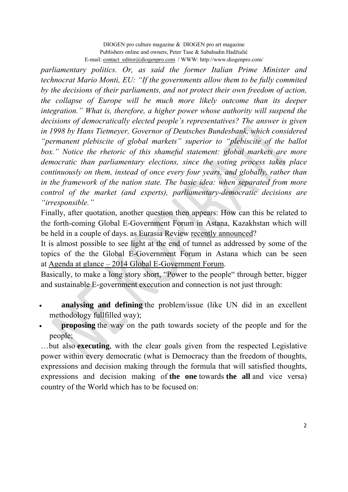DIOGEN pro culture magazine & DIOGEN pro art magazine Publishers online and owners, Peter Tase & Sabahudin Hadžialić E-mail: contact\_editor@diogenpro.com / WWW: http://www.diogenpro.com/

*parliamentary politics. Or, as said the former Italian Prime Minister and technocrat Mario Monti, EU: "If the governments allow them to be fully commited by the decisions of their parliaments, and not protect their own freedom of action, the collapse of Europe will be much more likely outcome than its deeper integration." What is, therefore, a higher power whose authority will suspend the decisions of democratically elected people's representatives? The answer is given in 1998 by Hans Tietmeyer, Governor of Deutsches Bundesbank, which considered "permanent plebiscite of global markets" superior to "plebiscite of the ballot*  box." Notice the rhetoric of this shameful statement: global markets are more *democratic than parliamentary elections, since the voting process takes place continuously on them, instead of once every four years, and globally, rather than in the framework of the nation state. The basic idea: when separated from more control of the market (and experts), parliamentary-democratic decisions are "irresponsible."*

Finally, after quotation, another question then appears: How can this be related to the forth-coming Global E-Government Forum in Astana, Kazakhstan which will be held in a couple of days. as Eurasia Review recently announced?

It is almost possible to see light at the end of tunnel as addressed by some of the topics of the the Global E-Government Forum in Astana which can be seen at Agenda at glance – 2014 Global E-Government Forum.

Basically, to make a long story short, "Power to the people" through better, bigger and sustainable E-government execution and connection is not just through:

- **analysing and defining** the problem/issue (like UN did in an excellent methodology fullfilled way);
- **proposing** the way on the path towards society of the people and for the people;

…but also **executing**, with the clear goals given from the respected Legislative power within every democratic (what is Democracy than the freedom of thoughts, expressions and decision making through the formula that will satisfied thoughts, expressions and decision making of **the one** towards **the all** and vice versa) country of the World which has to be focused on: